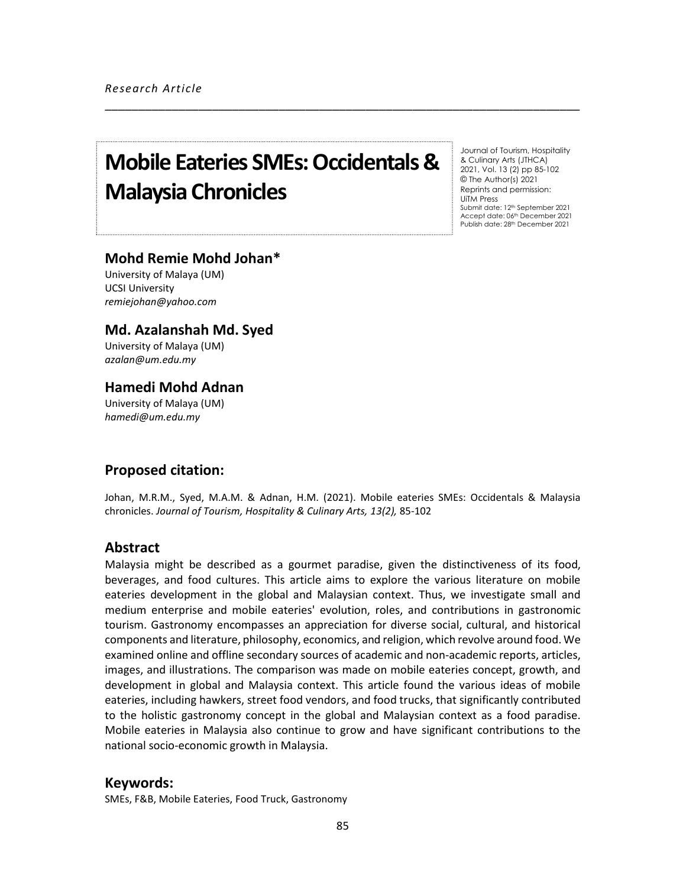# **Mobile Eateries SMEs: Occidentals & Malaysia Chronicles**

Journal of Tourism, Hospitality & Culinary Arts (JTHCA) 2021, Vol. 13 (2) pp 85-102 © The Author(s) 2021 Reprints and permission: UiTM Press Submit date: 12th September 2021 Accept date: 06<sup>th</sup> December 2021 Publish date: 28th December 2021

# **Mohd Remie Mohd Johan\***

University of Malaya (UM) UCSI University *remiejohan@yahoo.com*

# **Md. Azalanshah Md. Syed**

University of Malaya (UM) *azalan@um.edu.my*

# **Hamedi Mohd Adnan**

University of Malaya (UM) *hamedi@um.edu.my*

# **Proposed citation:**

Johan, M.R.M., Syed, M.A.M. & Adnan, H.M. (2021). Mobile eateries SMEs: Occidentals & Malaysia chronicles. *Journal of Tourism, Hospitality & Culinary Arts, 13(2),* 85-102

\_\_\_\_\_\_\_\_\_\_\_\_\_\_\_\_\_\_\_\_\_\_\_\_\_\_\_\_\_\_\_\_\_\_\_\_\_\_\_\_\_\_\_\_\_\_\_\_\_\_\_\_\_\_\_\_\_\_\_\_\_\_\_\_\_\_\_\_\_\_\_

### **Abstract**

Malaysia might be described as a gourmet paradise, given the distinctiveness of its food, beverages, and food cultures. This article aims to explore the various literature on mobile eateries development in the global and Malaysian context. Thus, we investigate small and medium enterprise and mobile eateries' evolution, roles, and contributions in gastronomic tourism. Gastronomy encompasses an appreciation for diverse social, cultural, and historical components and literature, philosophy, economics, and religion, which revolve around food. We examined online and offline secondary sources of academic and non-academic reports, articles, images, and illustrations. The comparison was made on mobile eateries concept, growth, and development in global and Malaysia context. This article found the various ideas of mobile eateries, including hawkers, street food vendors, and food trucks, that significantly contributed to the holistic gastronomy concept in the global and Malaysian context as a food paradise. Mobile eateries in Malaysia also continue to grow and have significant contributions to the national socio-economic growth in Malaysia.

### **Keywords:**

SMEs, F&B, Mobile Eateries, Food Truck, Gastronomy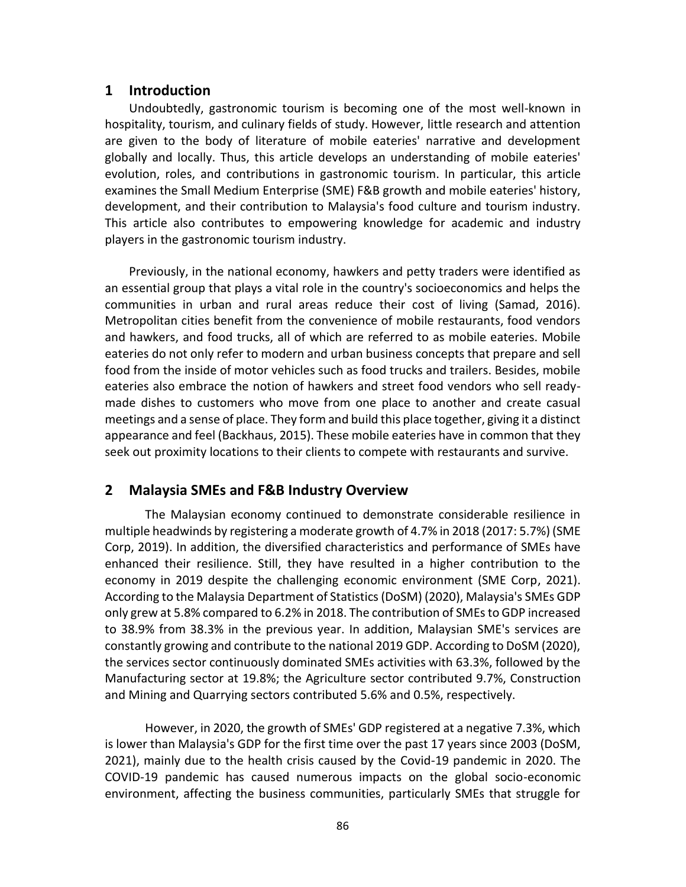## **1 Introduction**

Undoubtedly, gastronomic tourism is becoming one of the most well-known in hospitality, tourism, and culinary fields of study. However, little research and attention are given to the body of literature of mobile eateries' narrative and development globally and locally. Thus, this article develops an understanding of mobile eateries' evolution, roles, and contributions in gastronomic tourism. In particular, this article examines the Small Medium Enterprise (SME) F&B growth and mobile eateries' history, development, and their contribution to Malaysia's food culture and tourism industry. This article also contributes to empowering knowledge for academic and industry players in the gastronomic tourism industry.

Previously, in the national economy, hawkers and petty traders were identified as an essential group that plays a vital role in the country's socioeconomics and helps the communities in urban and rural areas reduce their cost of living (Samad, 2016). Metropolitan cities benefit from the convenience of mobile restaurants, food vendors and hawkers, and food trucks, all of which are referred to as mobile eateries. Mobile eateries do not only refer to modern and urban business concepts that prepare and sell food from the inside of motor vehicles such as food trucks and trailers. Besides, mobile eateries also embrace the notion of hawkers and street food vendors who sell readymade dishes to customers who move from one place to another and create casual meetings and a sense of place. They form and build this place together, giving it a distinct appearance and feel (Backhaus, 2015). These mobile eateries have in common that they seek out proximity locations to their clients to compete with restaurants and survive.

# **2 Malaysia SMEs and F&B Industry Overview**

The Malaysian economy continued to demonstrate considerable resilience in multiple headwinds by registering a moderate growth of 4.7% in 2018 (2017: 5.7%) (SME Corp, 2019). In addition, the diversified characteristics and performance of SMEs have enhanced their resilience. Still, they have resulted in a higher contribution to the economy in 2019 despite the challenging economic environment (SME Corp, 2021). According to the Malaysia Department of Statistics (DoSM) (2020), Malaysia's SMEs GDP only grew at 5.8% compared to 6.2% in 2018. The contribution of SMEs to GDP increased to 38.9% from 38.3% in the previous year. In addition, Malaysian SME's services are constantly growing and contribute to the national 2019 GDP. According to DoSM (2020), the services sector continuously dominated SMEs activities with 63.3%, followed by the Manufacturing sector at 19.8%; the Agriculture sector contributed 9.7%, Construction and Mining and Quarrying sectors contributed 5.6% and 0.5%, respectively.

However, in 2020, the growth of SMEs' GDP registered at a negative 7.3%, which is lower than Malaysia's GDP for the first time over the past 17 years since 2003 (DoSM, 2021), mainly due to the health crisis caused by the Covid-19 pandemic in 2020. The COVID-19 pandemic has caused numerous impacts on the global socio-economic environment, affecting the business communities, particularly SMEs that struggle for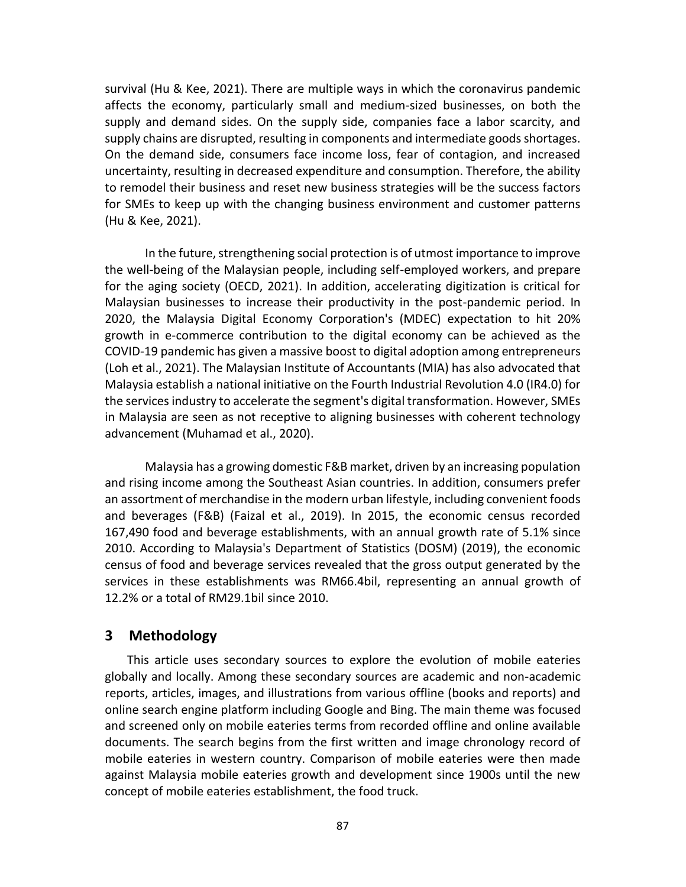survival (Hu & Kee, 2021). There are multiple ways in which the coronavirus pandemic affects the economy, particularly small and medium-sized businesses, on both the supply and demand sides. On the supply side, companies face a labor scarcity, and supply chains are disrupted, resulting in components and intermediate goods shortages. On the demand side, consumers face income loss, fear of contagion, and increased uncertainty, resulting in decreased expenditure and consumption. Therefore, the ability to remodel their business and reset new business strategies will be the success factors for SMEs to keep up with the changing business environment and customer patterns (Hu & Kee, 2021).

In the future, strengthening social protection is of utmost importance to improve the well-being of the Malaysian people, including self-employed workers, and prepare for the aging society (OECD, 2021). In addition, accelerating digitization is critical for Malaysian businesses to increase their productivity in the post-pandemic period. In 2020, the Malaysia Digital Economy Corporation's (MDEC) expectation to hit 20% growth in e-commerce contribution to the digital economy can be achieved as the COVID-19 pandemic has given a massive boost to digital adoption among entrepreneurs (Loh et al., 2021). The Malaysian Institute of Accountants (MIA) has also advocated that Malaysia establish a national initiative on the Fourth Industrial Revolution 4.0 (IR4.0) for the services industry to accelerate the segment's digital transformation. However, SMEs in Malaysia are seen as not receptive to aligning businesses with coherent technology advancement (Muhamad et al., 2020).

Malaysia has a growing domestic F&B market, driven by an increasing population and rising income among the Southeast Asian countries. In addition, consumers prefer an assortment of merchandise in the modern urban lifestyle, including convenient foods and beverages (F&B) (Faizal et al., 2019). In 2015, the economic census recorded 167,490 food and beverage establishments, with an annual growth rate of 5.1% since 2010. According to Malaysia's Department of Statistics (DOSM) (2019), the economic census of food and beverage services revealed that the gross output generated by the services in these establishments was RM66.4bil, representing an annual growth of 12.2% or a total of RM29.1bil since 2010.

## **3 Methodology**

This article uses secondary sources to explore the evolution of mobile eateries globally and locally. Among these secondary sources are academic and non-academic reports, articles, images, and illustrations from various offline (books and reports) and online search engine platform including Google and Bing. The main theme was focused and screened only on mobile eateries terms from recorded offline and online available documents. The search begins from the first written and image chronology record of mobile eateries in western country. Comparison of mobile eateries were then made against Malaysia mobile eateries growth and development since 1900s until the new concept of mobile eateries establishment, the food truck.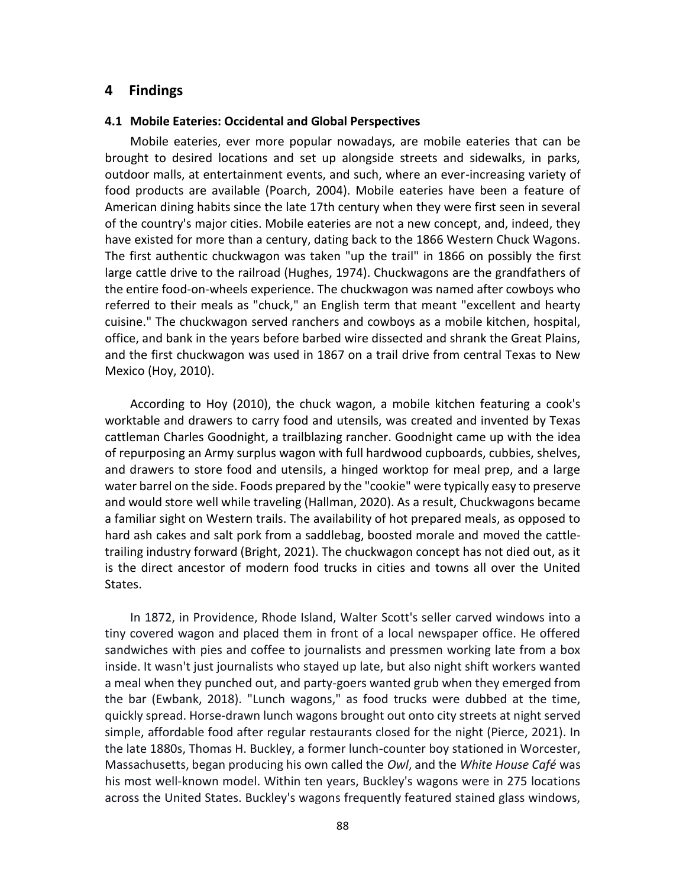## **4 Findings**

#### **4.1 Mobile Eateries: Occidental and Global Perspectives**

Mobile eateries, ever more popular nowadays, are mobile eateries that can be brought to desired locations and set up alongside streets and sidewalks, in parks, outdoor malls, at entertainment events, and such, where an ever-increasing variety of food products are available (Poarch, 2004). Mobile eateries have been a feature of American dining habits since the late 17th century when they were first seen in several of the country's major cities. Mobile eateries are not a new concept, and, indeed, they have existed for more than a century, dating back to the 1866 Western Chuck Wagons. The first authentic chuckwagon was taken "up the trail" in 1866 on possibly the first large cattle drive to the railroad (Hughes, 1974). Chuckwagons are the grandfathers of the entire food-on-wheels experience. The chuckwagon was named after cowboys who referred to their meals as "chuck," an English term that meant "excellent and hearty cuisine." The chuckwagon served ranchers and cowboys as a mobile kitchen, hospital, office, and bank in the years before barbed wire dissected and shrank the Great Plains, and the first chuckwagon was used in 1867 on a trail drive from central Texas to New Mexico (Hoy, 2010).

According to Hoy (2010), the chuck wagon, a mobile kitchen featuring a cook's worktable and drawers to carry food and utensils, was created and invented by Texas cattleman Charles Goodnight, a trailblazing rancher. Goodnight came up with the idea of repurposing an Army surplus wagon with full hardwood cupboards, cubbies, shelves, and drawers to store food and utensils, a hinged worktop for meal prep, and a large water barrel on the side. Foods prepared by the "cookie" were typically easy to preserve and would store well while traveling (Hallman, 2020). As a result, Chuckwagons became a familiar sight on Western trails. The availability of hot prepared meals, as opposed to hard ash cakes and salt pork from a saddlebag, boosted morale and moved the cattletrailing industry forward (Bright, 2021). The chuckwagon concept has not died out, as it is the direct ancestor of modern food trucks in cities and towns all over the United States.

In 1872, in Providence, Rhode Island, Walter Scott's seller carved windows into a tiny covered wagon and placed them in front of a local newspaper office. He offered sandwiches with pies and coffee to journalists and pressmen working late from a box inside. It wasn't just journalists who stayed up late, but also night shift workers wanted a meal when they punched out, and party-goers wanted grub when they emerged from the bar (Ewbank, 2018). "Lunch wagons," as food trucks were dubbed at the time, quickly spread. Horse-drawn lunch wagons brought out onto city streets at night served simple, affordable food after regular restaurants closed for the night (Pierce, 2021). In the late 1880s, Thomas H. Buckley, a former lunch-counter boy stationed in Worcester, Massachusetts, began producing his own called the *Owl*, and the *White House Café* was his most well-known model. Within ten years, Buckley's wagons were in 275 locations across the United States. Buckley's wagons frequently featured stained glass windows,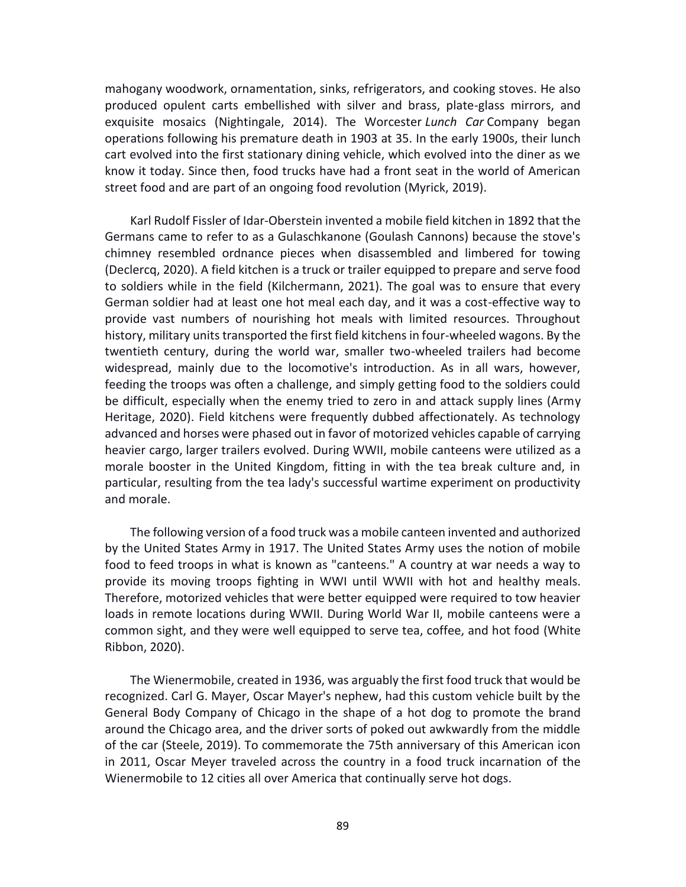mahogany woodwork, ornamentation, sinks, refrigerators, and cooking stoves. He also produced opulent carts embellished with silver and brass, plate-glass mirrors, and exquisite mosaics (Nightingale, 2014). The Worcester *Lunch Car* Company began operations following his premature death in 1903 at 35. In the early 1900s, their lunch cart evolved into the first stationary dining vehicle, which evolved into the diner as we know it today. Since then, food trucks have had a front seat in the world of American street food and are part of an ongoing food revolution (Myrick, 2019).

Karl Rudolf Fissler of Idar-Oberstein invented a mobile field kitchen in 1892 that the Germans came to refer to as a Gulaschkanone (Goulash Cannons) because the stove's chimney resembled ordnance pieces when disassembled and limbered for towing (Declercq, 2020). A field kitchen is a truck or trailer equipped to prepare and serve food to soldiers while in the field (Kilchermann, 2021). The goal was to ensure that every German soldier had at least one hot meal each day, and it was a cost-effective way to provide vast numbers of nourishing hot meals with limited resources. Throughout history, military units transported the first field kitchens in four-wheeled wagons. By the twentieth century, during the world war, smaller two-wheeled trailers had become widespread, mainly due to the locomotive's introduction. As in all wars, however, feeding the troops was often a challenge, and simply getting food to the soldiers could be difficult, especially when the enemy tried to zero in and attack supply lines (Army Heritage, 2020). Field kitchens were frequently dubbed affectionately. As technology advanced and horses were phased out in favor of motorized vehicles capable of carrying heavier cargo, larger trailers evolved. During WWII, mobile canteens were utilized as a morale booster in the United Kingdom, fitting in with the tea break culture and, in particular, resulting from the tea lady's successful wartime experiment on productivity and morale.

The following version of a food truck was a mobile canteen invented and authorized by the United States Army in 1917. The United States Army uses the notion of mobile food to feed troops in what is known as "canteens." A country at war needs a way to provide its moving troops fighting in WWI until WWII with hot and healthy meals. Therefore, motorized vehicles that were better equipped were required to tow heavier loads in remote locations during WWII. During World War II, mobile canteens were a common sight, and they were well equipped to serve tea, coffee, and hot food (White Ribbon, 2020).

The Wienermobile, created in 1936, was arguably the first food truck that would be recognized. Carl G. Mayer, Oscar Mayer's nephew, had this custom vehicle built by the General Body Company of Chicago in the shape of a hot dog to promote the brand around the Chicago area, and the driver sorts of poked out awkwardly from the middle of the car (Steele, 2019). To commemorate the 75th anniversary of this American icon in 2011, Oscar Meyer traveled across the country in a food truck incarnation of the Wienermobile to 12 cities all over America that continually serve hot dogs.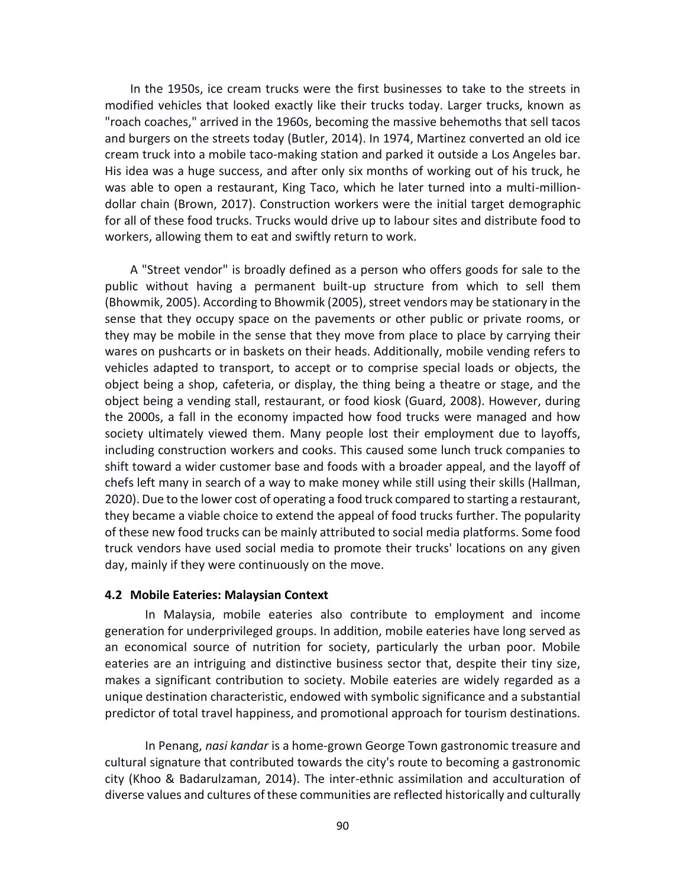In the 1950s, ice cream trucks were the first businesses to take to the streets in modified vehicles that looked exactly like their trucks today. Larger trucks, known as "roach coaches," arrived in the 1960s, becoming the massive behemoths that sell tacos and burgers on the streets today (Butler, 2014). In 1974, Martinez converted an old ice cream truck into a mobile taco-making station and parked it outside a Los Angeles bar. His idea was a huge success, and after only six months of working out of his truck, he was able to open a restaurant, King Taco, which he later turned into a multi-milliondollar chain (Brown, 2017). Construction workers were the initial target demographic for all of these food trucks. Trucks would drive up to labour sites and distribute food to workers, allowing them to eat and swiftly return to work.

A "Street vendor" is broadly defined as a person who offers goods for sale to the public without having a permanent built-up structure from which to sell them (Bhowmik, 2005). According to Bhowmik (2005), street vendors may be stationary in the sense that they occupy space on the pavements or other public or private rooms, or they may be mobile in the sense that they move from place to place by carrying their wares on pushcarts or in baskets on their heads. Additionally, mobile vending refers to vehicles adapted to transport, to accept or to comprise special loads or objects, the object being a shop, cafeteria, or display, the thing being a theatre or stage, and the object being a vending stall, restaurant, or food kiosk (Guard, 2008). However, during the 2000s, a fall in the economy impacted how food trucks were managed and how society ultimately viewed them. Many people lost their employment due to layoffs, including construction workers and cooks. This caused some lunch truck companies to shift toward a wider customer base and foods with a broader appeal, and the layoff of chefs left many in search of a way to make money while still using their skills (Hallman, 2020). Due to the lower cost of operating a food truck compared to starting a restaurant, they became a viable choice to extend the appeal of food trucks further. The popularity of these new food trucks can be mainly attributed to social media platforms. Some food truck vendors have used social media to promote their trucks' locations on any given day, mainly if they were continuously on the move.

#### **4.2 Mobile Eateries: Malaysian Context**

In Malaysia, mobile eateries also contribute to employment and income generation for underprivileged groups. In addition, mobile eateries have long served as an economical source of nutrition for society, particularly the urban poor. Mobile eateries are an intriguing and distinctive business sector that, despite their tiny size, makes a significant contribution to society. Mobile eateries are widely regarded as a unique destination characteristic, endowed with symbolic significance and a substantial predictor of total travel happiness, and promotional approach for tourism destinations.

In Penang, *nasi kandar* is a home-grown George Town gastronomic treasure and cultural signature that contributed towards the city's route to becoming a gastronomic city (Khoo & Badarulzaman, 2014). The inter-ethnic assimilation and acculturation of diverse values and cultures of these communities are reflected historically and culturally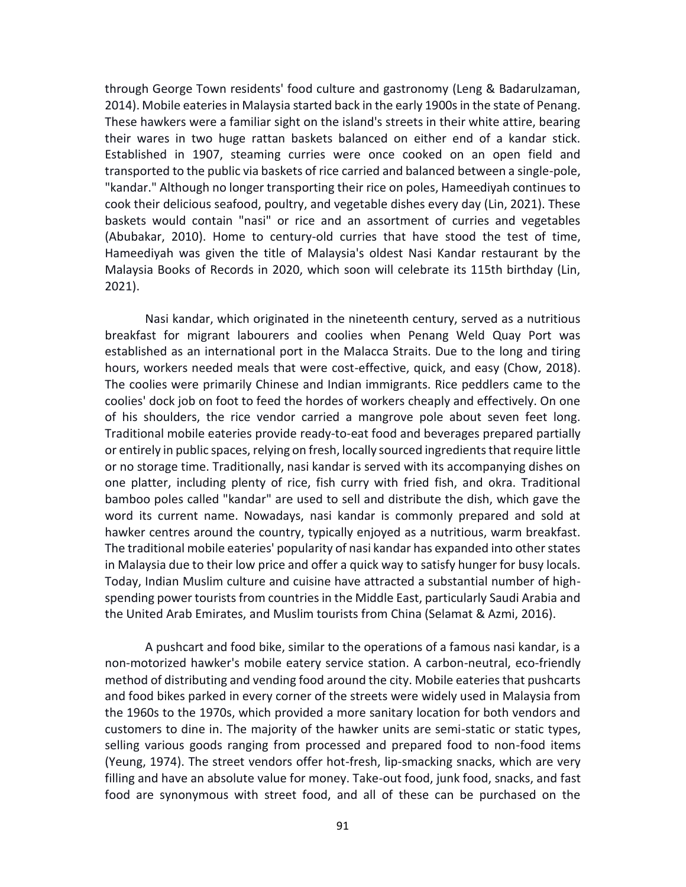through George Town residents' food culture and gastronomy (Leng & Badarulzaman, 2014). Mobile eateriesin Malaysia started back in the early 1900s in the state of Penang. These hawkers were a familiar sight on the island's streets in their white attire, bearing their wares in two huge rattan baskets balanced on either end of a kandar stick. Established in 1907, steaming curries were once cooked on an open field and transported to the public via baskets of rice carried and balanced between a single-pole, "kandar." Although no longer transporting their rice on poles, Hameediyah continues to cook their delicious seafood, poultry, and vegetable dishes every day (Lin, 2021). These baskets would contain "nasi" or rice and an assortment of curries and vegetables (Abubakar, 2010). Home to century-old curries that have stood the test of time, Hameediyah was given the title of Malaysia's oldest Nasi Kandar restaurant by the Malaysia Books of Records in 2020, which soon will celebrate its 115th birthday (Lin, 2021).

Nasi kandar, which originated in the nineteenth century, served as a nutritious breakfast for migrant labourers and coolies when Penang Weld Quay Port was established as an international port in the Malacca Straits. Due to the long and tiring hours, workers needed meals that were cost-effective, quick, and easy (Chow, 2018). The coolies were primarily Chinese and Indian immigrants. Rice peddlers came to the coolies' dock job on foot to feed the hordes of workers cheaply and effectively. On one of his shoulders, the rice vendor carried a mangrove pole about seven feet long. Traditional mobile eateries provide ready-to-eat food and beverages prepared partially or entirely in public spaces, relying on fresh, locally sourced ingredients that require little or no storage time. Traditionally, nasi kandar is served with its accompanying dishes on one platter, including plenty of rice, fish curry with fried fish, and okra. Traditional bamboo poles called "kandar" are used to sell and distribute the dish, which gave the word its current name. Nowadays, nasi kandar is commonly prepared and sold at hawker centres around the country, typically enjoyed as a nutritious, warm breakfast. The traditional mobile eateries' popularity of nasi kandar has expanded into other states in Malaysia due to their low price and offer a quick way to satisfy hunger for busy locals. Today, Indian Muslim culture and cuisine have attracted a substantial number of highspending power tourists from countries in the Middle East, particularly Saudi Arabia and the United Arab Emirates, and Muslim tourists from China (Selamat & Azmi, 2016).

A pushcart and food bike, similar to the operations of a famous nasi kandar, is a non-motorized hawker's mobile eatery service station. A carbon-neutral, eco-friendly method of distributing and vending food around the city. Mobile eateries that pushcarts and food bikes parked in every corner of the streets were widely used in Malaysia from the 1960s to the 1970s, which provided a more sanitary location for both vendors and customers to dine in. The majority of the hawker units are semi-static or static types, selling various goods ranging from processed and prepared food to non-food items (Yeung, 1974). The street vendors offer hot-fresh, lip-smacking snacks, which are very filling and have an absolute value for money. Take-out food, junk food, snacks, and fast food are synonymous with street food, and all of these can be purchased on the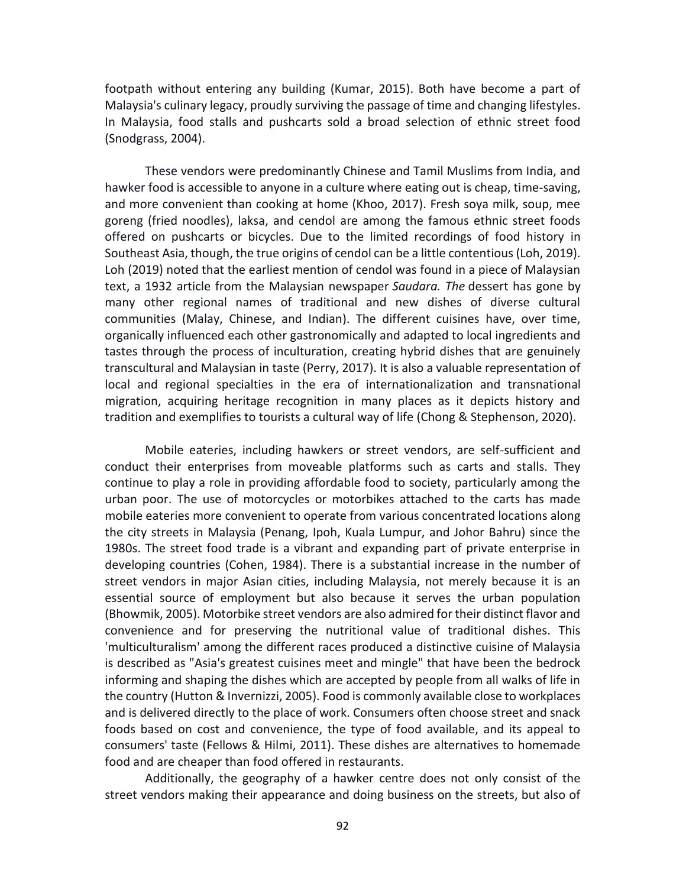footpath without entering any building (Kumar, 2015). Both have become a part of Malaysia's culinary legacy, proudly surviving the passage of time and changing lifestyles. In Malaysia, food stalls and pushcarts sold a broad selection of ethnic street food (Snodgrass, 2004).

These vendors were predominantly Chinese and Tamil Muslims from India, and hawker food is accessible to anyone in a culture where eating out is cheap, time-saving, and more convenient than cooking at home (Khoo, 2017). Fresh soya milk, soup, mee goreng (fried noodles), laksa, and cendol are among the famous ethnic street foods offered on pushcarts or bicycles. Due to the limited recordings of food history in Southeast Asia, though, the true origins of cendol can be a little contentious (Loh, 2019). Loh (2019) noted that the earliest mention of cendol was found in a piece of Malaysian text, a 1932 article from the Malaysian newspaper *Saudara. The* dessert has gone by many other regional names of traditional and new dishes of diverse cultural communities (Malay, Chinese, and Indian). The different cuisines have, over time, organically influenced each other gastronomically and adapted to local ingredients and tastes through the process of inculturation, creating hybrid dishes that are genuinely transcultural and Malaysian in taste (Perry, 2017). It is also a valuable representation of local and regional specialties in the era of internationalization and transnational migration, acquiring heritage recognition in many places as it depicts history and tradition and exemplifies to tourists a cultural way of life (Chong & Stephenson, 2020).

Mobile eateries, including hawkers or street vendors, are self-sufficient and conduct their enterprises from moveable platforms such as carts and stalls. They continue to play a role in providing affordable food to society, particularly among the urban poor. The use of motorcycles or motorbikes attached to the carts has made mobile eateries more convenient to operate from various concentrated locations along the city streets in Malaysia (Penang, Ipoh, Kuala Lumpur, and Johor Bahru) since the 1980s. The street food trade is a vibrant and expanding part of private enterprise in developing countries (Cohen, 1984). There is a substantial increase in the number of street vendors in major Asian cities, including Malaysia, not merely because it is an essential source of employment but also because it serves the urban population (Bhowmik, 2005). Motorbike street vendors are also admired for their distinct flavor and convenience and for preserving the nutritional value of traditional dishes. This 'multiculturalism' among the different races produced a distinctive cuisine of Malaysia is described as "Asia's greatest cuisines meet and mingle" that have been the bedrock informing and shaping the dishes which are accepted by people from all walks of life in the country (Hutton & Invernizzi, 2005). Food is commonly available close to workplaces and is delivered directly to the place of work. Consumers often choose street and snack foods based on cost and convenience, the type of food available, and its appeal to consumers' taste (Fellows & Hilmi, 2011). These dishes are alternatives to homemade food and are cheaper than food offered in restaurants.

Additionally, the geography of a hawker centre does not only consist of the street vendors making their appearance and doing business on the streets, but also of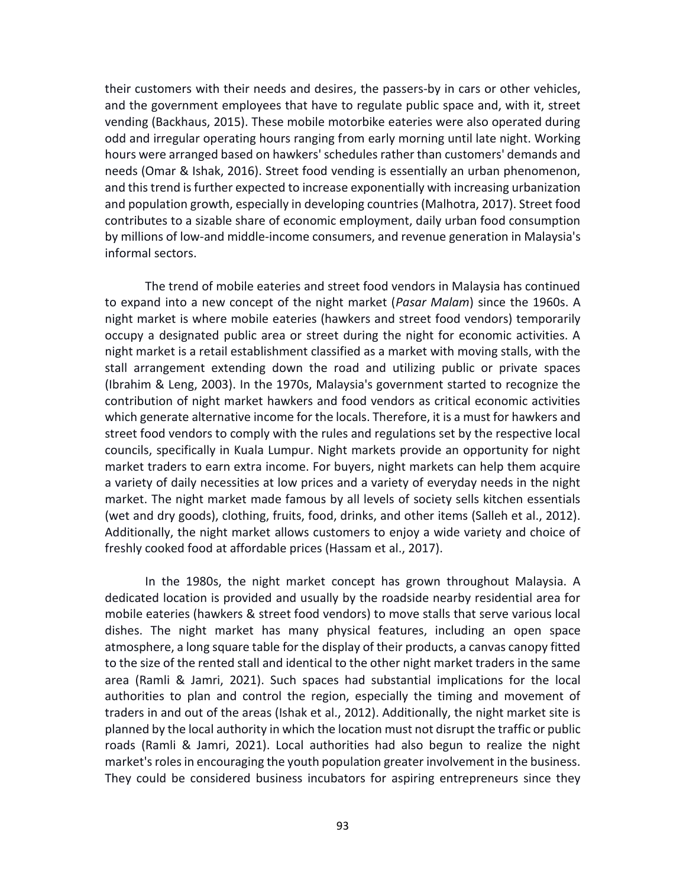their customers with their needs and desires, the passers-by in cars or other vehicles, and the government employees that have to regulate public space and, with it, street vending (Backhaus, 2015). These mobile motorbike eateries were also operated during odd and irregular operating hours ranging from early morning until late night. Working hours were arranged based on hawkers' schedules rather than customers' demands and needs (Omar & Ishak, 2016). Street food vending is essentially an urban phenomenon, and this trend is further expected to increase exponentially with increasing urbanization and population growth, especially in developing countries (Malhotra, 2017). Street food contributes to a sizable share of economic employment, daily urban food consumption by millions of low-and middle-income consumers, and revenue generation in Malaysia's informal sectors.

The trend of mobile eateries and street food vendors in Malaysia has continued to expand into a new concept of the night market (*Pasar Malam*) since the 1960s. A night market is where mobile eateries (hawkers and street food vendors) temporarily occupy a designated public area or street during the night for economic activities. A night market is a retail establishment classified as a market with moving stalls, with the stall arrangement extending down the road and utilizing public or private spaces (Ibrahim & Leng, 2003). In the 1970s, Malaysia's government started to recognize the contribution of night market hawkers and food vendors as critical economic activities which generate alternative income for the locals. Therefore, it is a must for hawkers and street food vendors to comply with the rules and regulations set by the respective local councils, specifically in Kuala Lumpur. Night markets provide an opportunity for night market traders to earn extra income. For buyers, night markets can help them acquire a variety of daily necessities at low prices and a variety of everyday needs in the night market. The night market made famous by all levels of society sells kitchen essentials (wet and dry goods), clothing, fruits, food, drinks, and other items (Salleh et al., 2012). Additionally, the night market allows customers to enjoy a wide variety and choice of freshly cooked food at affordable prices (Hassam et al., 2017).

In the 1980s, the night market concept has grown throughout Malaysia. A dedicated location is provided and usually by the roadside nearby residential area for mobile eateries (hawkers & street food vendors) to move stalls that serve various local dishes. The night market has many physical features, including an open space atmosphere, a long square table for the display of their products, a canvas canopy fitted to the size of the rented stall and identical to the other night market traders in the same area (Ramli & Jamri, 2021). Such spaces had substantial implications for the local authorities to plan and control the region, especially the timing and movement of traders in and out of the areas (Ishak et al., 2012). Additionally, the night market site is planned by the local authority in which the location must not disrupt the traffic or public roads (Ramli & Jamri, 2021). Local authorities had also begun to realize the night market's roles in encouraging the youth population greater involvement in the business. They could be considered business incubators for aspiring entrepreneurs since they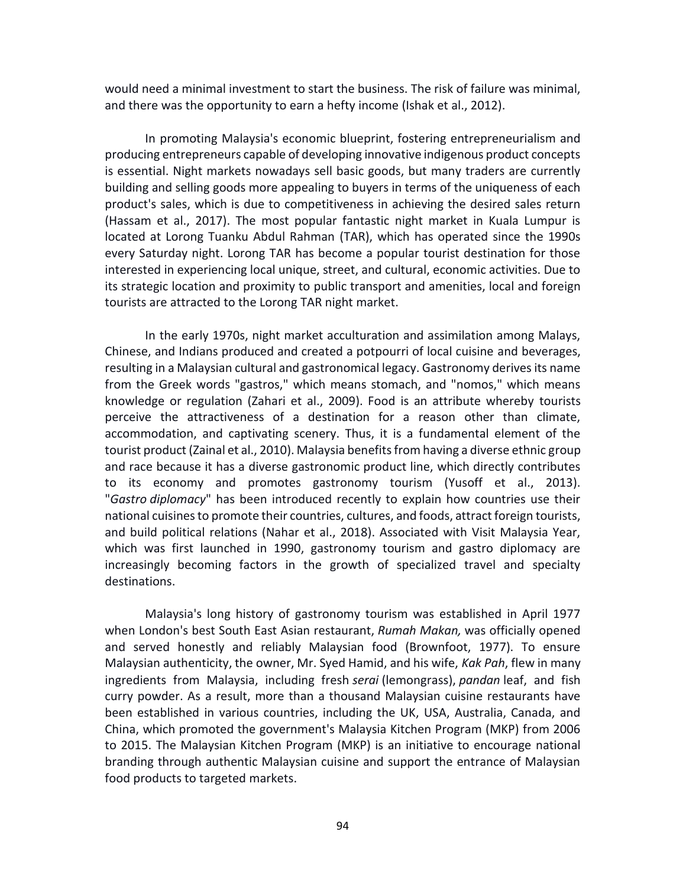would need a minimal investment to start the business. The risk of failure was minimal, and there was the opportunity to earn a hefty income (Ishak et al., 2012).

In promoting Malaysia's economic blueprint, fostering entrepreneurialism and producing entrepreneurs capable of developing innovative indigenous product concepts is essential. Night markets nowadays sell basic goods, but many traders are currently building and selling goods more appealing to buyers in terms of the uniqueness of each product's sales, which is due to competitiveness in achieving the desired sales return (Hassam et al., 2017). The most popular fantastic night market in Kuala Lumpur is located at Lorong Tuanku Abdul Rahman (TAR), which has operated since the 1990s every Saturday night. Lorong TAR has become a popular tourist destination for those interested in experiencing local unique, street, and cultural, economic activities. Due to its strategic location and proximity to public transport and amenities, local and foreign tourists are attracted to the Lorong TAR night market.

In the early 1970s, night market acculturation and assimilation among Malays, Chinese, and Indians produced and created a potpourri of local cuisine and beverages, resulting in a Malaysian cultural and gastronomical legacy. Gastronomy derives its name from the Greek words "gastros," which means stomach, and "nomos," which means knowledge or regulation (Zahari et al., 2009). Food is an attribute whereby tourists perceive the attractiveness of a destination for a reason other than climate, accommodation, and captivating scenery. Thus, it is a fundamental element of the tourist product (Zainal et al., 2010). Malaysia benefits from having a diverse ethnic group and race because it has a diverse gastronomic product line, which directly contributes to its economy and promotes gastronomy tourism (Yusoff et al., 2013). "*Gastro diplomacy*" has been introduced recently to explain how countries use their national cuisines to promote their countries, cultures, and foods, attract foreign tourists, and build political relations (Nahar et al., 2018). Associated with Visit Malaysia Year, which was first launched in 1990, gastronomy tourism and gastro diplomacy are increasingly becoming factors in the growth of specialized travel and specialty destinations.

Malaysia's long history of gastronomy tourism was established in April 1977 when London's best South East Asian restaurant, *Rumah Makan,* was officially opened and served honestly and reliably Malaysian food (Brownfoot, 1977). To ensure Malaysian authenticity, the owner, Mr. Syed Hamid, and his wife, *Kak Pah*, flew in many ingredients from Malaysia, including fresh *serai* (lemongrass), *pandan* leaf, and fish curry powder. As a result, more than a thousand Malaysian cuisine restaurants have been established in various countries, including the UK, USA, Australia, Canada, and China, which promoted the government's Malaysia Kitchen Program (MKP) from 2006 to 2015. The Malaysian Kitchen Program (MKP) is an initiative to encourage national branding through authentic Malaysian cuisine and support the entrance of Malaysian food products to targeted markets.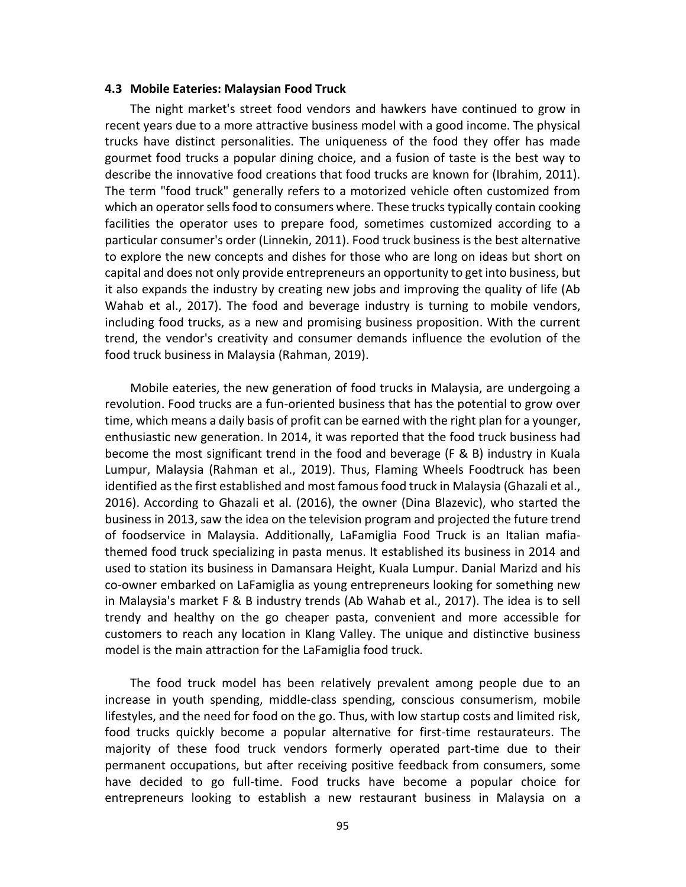#### **4.3 Mobile Eateries: Malaysian Food Truck**

The night market's street food vendors and hawkers have continued to grow in recent years due to a more attractive business model with a good income. The physical trucks have distinct personalities. The uniqueness of the food they offer has made gourmet food trucks a popular dining choice, and a fusion of taste is the best way to describe the innovative food creations that food trucks are known for (Ibrahim, 2011). The term "food truck" generally refers to a motorized vehicle often customized from which an operator sells food to consumers where. These trucks typically contain cooking facilities the operator uses to prepare food, sometimes customized according to a particular consumer's order (Linnekin, 2011). Food truck business is the best alternative to explore the new concepts and dishes for those who are long on ideas but short on capital and does not only provide entrepreneurs an opportunity to get into business, but it also expands the industry by creating new jobs and improving the quality of life (Ab Wahab et al., 2017). The food and beverage industry is turning to mobile vendors, including food trucks, as a new and promising business proposition. With the current trend, the vendor's creativity and consumer demands influence the evolution of the food truck business in Malaysia (Rahman, 2019).

Mobile eateries, the new generation of food trucks in Malaysia, are undergoing a revolution. Food trucks are a fun-oriented business that has the potential to grow over time, which means a daily basis of profit can be earned with the right plan for a younger, enthusiastic new generation. In 2014, it was reported that the food truck business had become the most significant trend in the food and beverage (F & B) industry in Kuala Lumpur, Malaysia (Rahman et al., 2019). Thus, Flaming Wheels Foodtruck has been identified as the first established and most famous food truck in Malaysia (Ghazali et al., 2016). According to Ghazali et al. (2016), the owner (Dina Blazevic), who started the business in 2013, saw the idea on the television program and projected the future trend of foodservice in Malaysia. Additionally, LaFamiglia Food Truck is an Italian mafiathemed food truck specializing in pasta menus. It established its business in 2014 and used to station its business in Damansara Height, Kuala Lumpur. Danial Marizd and his co-owner embarked on LaFamiglia as young entrepreneurs looking for something new in Malaysia's market F & B industry trends (Ab Wahab et al., 2017). The idea is to sell trendy and healthy on the go cheaper pasta, convenient and more accessible for customers to reach any location in Klang Valley. The unique and distinctive business model is the main attraction for the LaFamiglia food truck.

The food truck model has been relatively prevalent among people due to an increase in youth spending, middle-class spending, conscious consumerism, mobile lifestyles, and the need for food on the go. Thus, with low startup costs and limited risk, food trucks quickly become a popular alternative for first-time restaurateurs. The majority of these food truck vendors formerly operated part-time due to their permanent occupations, but after receiving positive feedback from consumers, some have decided to go full-time. Food trucks have become a popular choice for entrepreneurs looking to establish a new restaurant business in Malaysia on a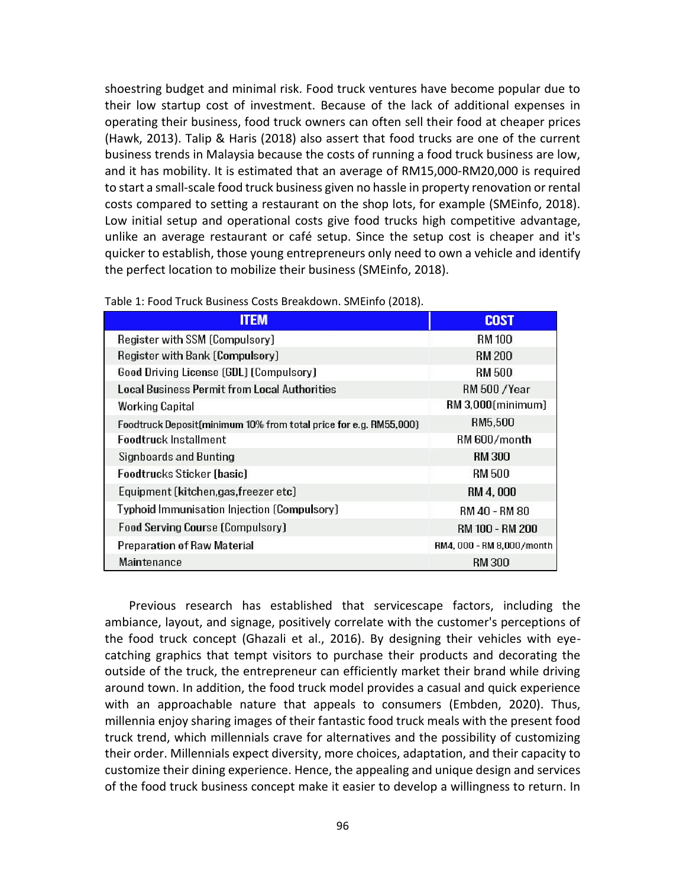shoestring budget and minimal risk. Food truck ventures have become popular due to their low startup cost of investment. Because of the lack of additional expenses in operating their business, food truck owners can often sell their food at cheaper prices (Hawk, 2013). Talip & Haris (2018) also assert that food trucks are one of the current business trends in Malaysia because the costs of running a food truck business are low, and it has mobility. It is estimated that an average of RM15,000-RM20,000 is required to start a small-scale food truck business given no hassle in property renovation or rental costs compared to setting a restaurant on the shop lots, for example (SMEinfo, 2018). Low initial setup and operational costs give food trucks high competitive advantage, unlike an average restaurant or café setup. Since the setup cost is cheaper and it's quicker to establish, those young entrepreneurs only need to own a vehicle and identify the perfect location to mobilize their business (SMEinfo, 2018).

| <b>ITEM</b>                                                       | <b>COST</b>               |
|-------------------------------------------------------------------|---------------------------|
| Register with SSM (Compulsory)                                    | <b>RM 100</b>             |
| Register with Bank (Compulsory)                                   | <b>RM 200</b>             |
| Good Driving License (GDL) (Compulsory)                           | RM 500                    |
| Local Business Permit from Local Authorities                      | <b>RM 500 / Year</b>      |
| Working Capital                                                   | RM 3.000 (minimum)        |
| Foodtruck Deposit(minimum 10% from total price for e.g. RM55,000) | RM5.500                   |
| Foodtruck Installment                                             | RM 600/month              |
| Signboards and Bunting                                            | <b>RM 300</b>             |
| Foodtrucks Sticker (basic)                                        | RM 500                    |
| Equipment (kitchen, gas, freezer etc)                             | RM 4, 000                 |
| Typhoid Immunisation Injection (Compulsory)                       | RM 40 - RM 80             |
| <b>Food Serving Course (Compulsory)</b>                           | RM 100 - RM 200           |
| <b>Preparation of Raw Material</b>                                | RM4, 000 - RM 8,000/month |
| Maintenance                                                       | RM 300                    |

Table 1: Food Truck Business Costs Breakdown. SMEinfo (2018).

Previous research has established that servicescape factors, including the ambiance, layout, and signage, positively correlate with the customer's perceptions of the food truck concept (Ghazali et al., 2016). By designing their vehicles with eyecatching graphics that tempt visitors to purchase their products and decorating the outside of the truck, the entrepreneur can efficiently market their brand while driving around town. In addition, the food truck model provides a casual and quick experience with an approachable nature that appeals to consumers (Embden, 2020). Thus, millennia enjoy sharing images of their fantastic food truck meals with the present food truck trend, which millennials crave for alternatives and the possibility of customizing their order. Millennials expect diversity, more choices, adaptation, and their capacity to customize their dining experience. Hence, the appealing and unique design and services of the food truck business concept make it easier to develop a willingness to return. In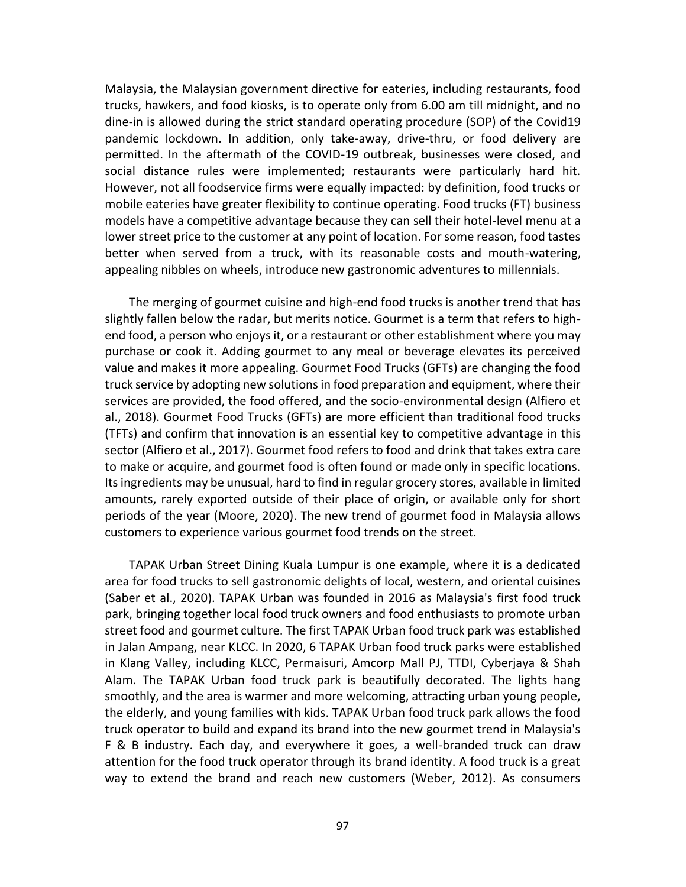Malaysia, the Malaysian government directive for eateries, including restaurants, food trucks, hawkers, and food kiosks, is to operate only from 6.00 am till midnight, and no dine-in is allowed during the strict standard operating procedure (SOP) of the Covid19 pandemic lockdown. In addition, only take-away, drive-thru, or food delivery are permitted. In the aftermath of the COVID-19 outbreak, businesses were closed, and social distance rules were implemented; restaurants were particularly hard hit. However, not all foodservice firms were equally impacted: by definition, food trucks or mobile eateries have greater flexibility to continue operating. Food trucks (FT) business models have a competitive advantage because they can sell their hotel-level menu at a lower street price to the customer at any point of location. For some reason, food tastes better when served from a truck, with its reasonable costs and mouth-watering, appealing nibbles on wheels, introduce new gastronomic adventures to millennials.

The merging of gourmet cuisine and high-end food trucks is another trend that has slightly fallen below the radar, but merits notice. Gourmet is a term that refers to highend food, a person who enjoys it, or a restaurant or other establishment where you may purchase or cook it. Adding gourmet to any meal or beverage elevates its perceived value and makes it more appealing. Gourmet Food Trucks (GFTs) are changing the food truck service by adopting new solutions in food preparation and equipment, where their services are provided, the food offered, and the socio-environmental design (Alfiero et al., 2018). Gourmet Food Trucks (GFTs) are more efficient than traditional food trucks (TFTs) and confirm that innovation is an essential key to competitive advantage in this sector (Alfiero et al., 2017). Gourmet food refers to food and drink that takes extra care to make or acquire, and gourmet food is often found or made only in specific locations. Its ingredients may be unusual, hard to find in regular grocery stores, available in limited amounts, rarely exported outside of their place of origin, or available only for short periods of the year (Moore, 2020). The new trend of gourmet food in Malaysia allows customers to experience various gourmet food trends on the street.

TAPAK Urban Street Dining Kuala Lumpur is one example, where it is a dedicated area for food trucks to sell gastronomic delights of local, western, and oriental cuisines (Saber et al., 2020). TAPAK Urban was founded in 2016 as Malaysia's first food truck park, bringing together local food truck owners and food enthusiasts to promote urban street food and gourmet culture. The first TAPAK Urban food truck park was established in Jalan Ampang, near KLCC. In 2020, 6 TAPAK Urban food truck parks were established in Klang Valley, including KLCC, Permaisuri, Amcorp Mall PJ, TTDI, Cyberjaya & Shah Alam. The TAPAK Urban food truck park is beautifully decorated. The lights hang smoothly, and the area is warmer and more welcoming, attracting urban young people, the elderly, and young families with kids. TAPAK Urban food truck park allows the food truck operator to build and expand its brand into the new gourmet trend in Malaysia's F & B industry. Each day, and everywhere it goes, a well-branded truck can draw attention for the food truck operator through its brand identity. A food truck is a great way to extend the brand and reach new customers (Weber, 2012). As consumers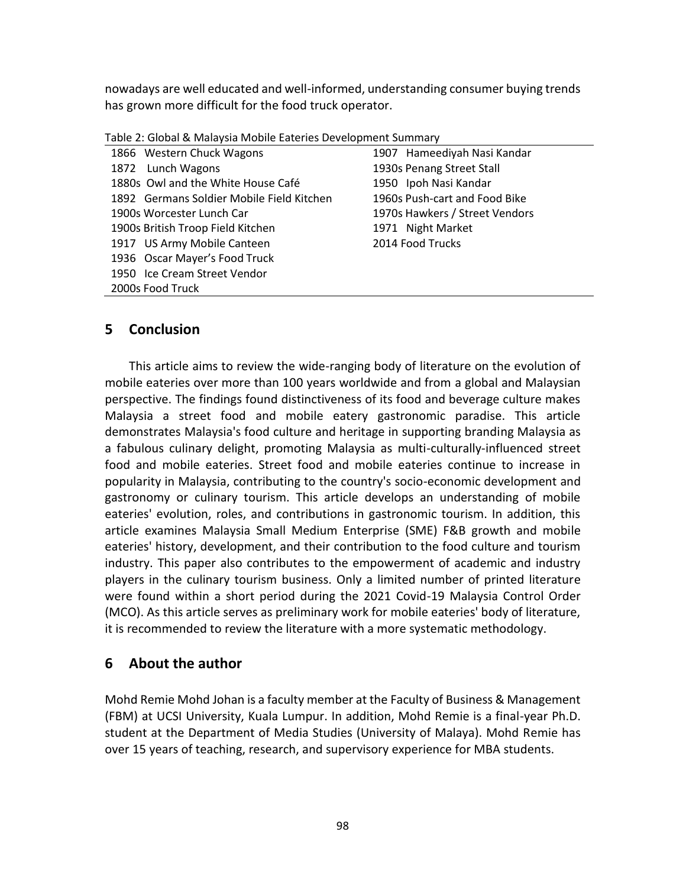nowadays are well educated and well-informed, understanding consumer buying trends has grown more difficult for the food truck operator.

|  | Table 2: Global & Malaysia Mobile Eateries Development Summary |  |  |
|--|----------------------------------------------------------------|--|--|
|--|----------------------------------------------------------------|--|--|

| 1866 Western Chuck Wagons                 | 1907 Hameediyah Nasi Kandar    |
|-------------------------------------------|--------------------------------|
| 1872 Lunch Wagons                         | 1930s Penang Street Stall      |
| 1880s Owl and the White House Café        | 1950 Ipoh Nasi Kandar          |
| 1892 Germans Soldier Mobile Field Kitchen | 1960s Push-cart and Food Bike  |
| 1900s Worcester Lunch Car                 | 1970s Hawkers / Street Vendors |
| 1900s British Troop Field Kitchen         | 1971 Night Market              |
| 1917 US Army Mobile Canteen               | 2014 Food Trucks               |
| 1936 Oscar Mayer's Food Truck             |                                |
| 1950 Ice Cream Street Vendor              |                                |
| 2000s Food Truck                          |                                |

# **5 Conclusion**

This article aims to review the wide-ranging body of literature on the evolution of mobile eateries over more than 100 years worldwide and from a global and Malaysian perspective. The findings found distinctiveness of its food and beverage culture makes Malaysia a street food and mobile eatery gastronomic paradise. This article demonstrates Malaysia's food culture and heritage in supporting branding Malaysia as a fabulous culinary delight, promoting Malaysia as multi-culturally-influenced street food and mobile eateries. Street food and mobile eateries continue to increase in popularity in Malaysia, contributing to the country's socio-economic development and gastronomy or culinary tourism. This article develops an understanding of mobile eateries' evolution, roles, and contributions in gastronomic tourism. In addition, this article examines Malaysia Small Medium Enterprise (SME) F&B growth and mobile eateries' history, development, and their contribution to the food culture and tourism industry. This paper also contributes to the empowerment of academic and industry players in the culinary tourism business. Only a limited number of printed literature were found within a short period during the 2021 Covid-19 Malaysia Control Order (MCO). As this article serves as preliminary work for mobile eateries' body of literature, it is recommended to review the literature with a more systematic methodology.

# **6 About the author**

Mohd Remie Mohd Johan is a faculty member at the Faculty of Business & Management (FBM) at UCSI University, Kuala Lumpur. In addition, Mohd Remie is a final-year Ph.D. student at the Department of Media Studies (University of Malaya). Mohd Remie has over 15 years of teaching, research, and supervisory experience for MBA students.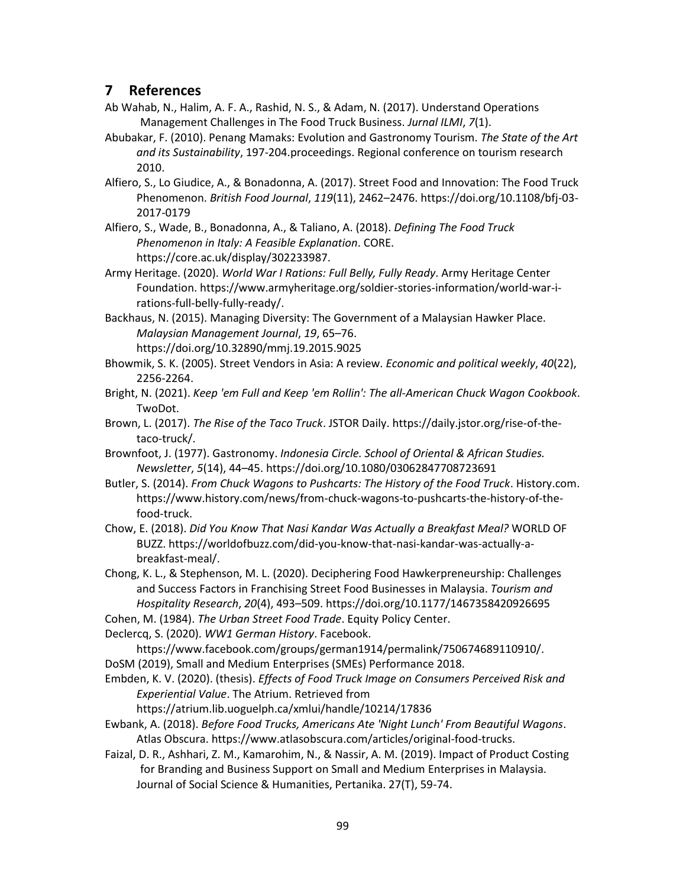# **7 References**

- Ab Wahab, N., Halim, A. F. A., Rashid, N. S., & Adam, N. (2017). Understand Operations Management Challenges in The Food Truck Business. *Jurnal ILMI*, *7*(1).
- Abubakar, F. (2010). Penang Mamaks: Evolution and Gastronomy Tourism. *The State of the Art and its Sustainability*, 197-204.proceedings. Regional conference on tourism research 2010.
- Alfiero, S., Lo Giudice, A., & Bonadonna, A. (2017). Street Food and Innovation: The Food Truck Phenomenon. *British Food Journal*, *119*(11), 2462–2476. https://doi.org/10.1108/bfj-03- 2017-0179
- Alfiero, S., Wade, B., Bonadonna, A., & Taliano, A. (2018). *Defining The Food Truck Phenomenon in Italy: A Feasible Explanation*. CORE. https://core.ac.uk/display/302233987.
- Army Heritage. (2020). *World War I Rations: Full Belly, Fully Ready*. Army Heritage Center Foundation. https://www.armyheritage.org/soldier-stories-information/world-war-irations-full-belly-fully-ready/.
- Backhaus, N. (2015). Managing Diversity: The Government of a Malaysian Hawker Place. *Malaysian Management Journal*, *19*, 65–76. https://doi.org/10.32890/mmj.19.2015.9025
- Bhowmik, S. K. (2005). Street Vendors in Asia: A review. *Economic and political weekly*, *40*(22), 2256-2264.
- Bright, N. (2021). *Keep 'em Full and Keep 'em Rollin': The all-American Chuck Wagon Cookbook*. TwoDot.
- Brown, L. (2017). *The Rise of the Taco Truck*. JSTOR Daily. https://daily.jstor.org/rise-of-thetaco-truck/.
- Brownfoot, J. (1977). Gastronomy. *Indonesia Circle. School of Oriental & African Studies. Newsletter*, *5*(14), 44–45. https://doi.org/10.1080/03062847708723691
- Butler, S. (2014). *From Chuck Wagons to Pushcarts: The History of the Food Truck*. History.com. https://www.history.com/news/from-chuck-wagons-to-pushcarts-the-history-of-thefood-truck.
- Chow, E. (2018). *Did You Know That Nasi Kandar Was Actually a Breakfast Meal?* WORLD OF BUZZ. https://worldofbuzz.com/did-you-know-that-nasi-kandar-was-actually-abreakfast-meal/.
- Chong, K. L., & Stephenson, M. L. (2020). Deciphering Food Hawkerpreneurship: Challenges and Success Factors in Franchising Street Food Businesses in Malaysia. *Tourism and Hospitality Research*, *20*(4), 493–509. https://doi.org/10.1177/1467358420926695
- Cohen, M. (1984). *The Urban Street Food Trade*. Equity Policy Center.
- Declercq, S. (2020). *WW1 German History*. Facebook.

https://www.facebook.com/groups/german1914/permalink/750674689110910/. DoSM (2019), Small and Medium Enterprises (SMEs) Performance 2018.

Embden, K. V. (2020). (thesis). *Effects of Food Truck Image on Consumers Perceived Risk and Experiential Value*. The Atrium. Retrieved from

https://atrium.lib.uoguelph.ca/xmlui/handle/10214/17836

- Ewbank, A. (2018). *Before Food Trucks, Americans Ate 'Night Lunch' From Beautiful Wagons*. Atlas Obscura. https://www.atlasobscura.com/articles/original-food-trucks.
- Faizal, D. R., Ashhari, Z. M., Kamarohim, N., & Nassir, A. M. (2019). Impact of Product Costing for Branding and Business Support on Small and Medium Enterprises in Malaysia. Journal of Social Science & Humanities, Pertanika. 27(T), 59-74.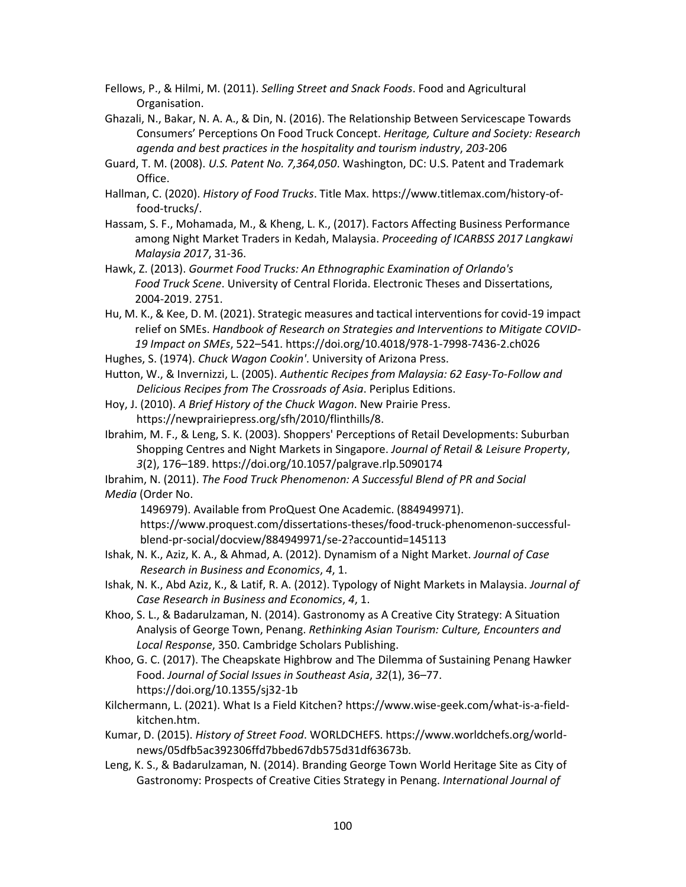Fellows, P., & Hilmi, M. (2011). *Selling Street and Snack Foods*. Food and Agricultural Organisation.

- Ghazali, N., Bakar, N. A. A., & Din, N. (2016). The Relationship Between Servicescape Towards Consumers' Perceptions On Food Truck Concept. *Heritage, Culture and Society: Research agenda and best practices in the hospitality and tourism industry*, *203*-206
- Guard, T. M. (2008). *U.S. Patent No. 7,364,050*. Washington, DC: U.S. Patent and Trademark Office.
- Hallman, C. (2020). *History of Food Trucks*. Title Max. https://www.titlemax.com/history-offood-trucks/.
- Hassam, S. F., Mohamada, M., & Kheng, L. K., (2017). Factors Affecting Business Performance among Night Market Traders in Kedah, Malaysia. *Proceeding of ICARBSS 2017 Langkawi Malaysia 2017*, 31-36.
- Hawk, Z. (2013). *Gourmet Food Trucks: An Ethnographic Examination of Orlando's Food Truck Scene*. University of Central Florida. Electronic Theses and Dissertations, 2004-2019. 2751.
- Hu, M. K., & Kee, D. M. (2021). Strategic measures and tactical interventions for covid-19 impact relief on SMEs. *Handbook of Research on Strategies and Interventions to Mitigate COVID-19 Impact on SMEs*, 522–541. https://doi.org/10.4018/978-1-7998-7436-2.ch026
- Hughes, S. (1974). *Chuck Wagon Cookin'*. University of Arizona Press.
- Hutton, W., & Invernizzi, L. (2005). *Authentic Recipes from Malaysia: 62 Easy-To-Follow and Delicious Recipes from The Crossroads of Asia*. Periplus Editions.
- Hoy, J. (2010). *A Brief History of the Chuck Wagon*. New Prairie Press. https://newprairiepress.org/sfh/2010/flinthills/8.
- Ibrahim, M. F., & Leng, S. K. (2003). Shoppers' Perceptions of Retail Developments: Suburban Shopping Centres and Night Markets in Singapore. *Journal of Retail & Leisure Property*, *3*(2), 176–189. https://doi.org/10.1057/palgrave.rlp.5090174
- Ibrahim, N. (2011). *The Food Truck Phenomenon: A Successful Blend of PR and Social Media* (Order No.

1496979). Available from ProQuest One Academic. (884949971).

https://www.proquest.com/dissertations-theses/food-truck-phenomenon-successfulblend-pr-social/docview/884949971/se-2?accountid=145113

- Ishak, N. K., Aziz, K. A., & Ahmad, A. (2012). Dynamism of a Night Market. *Journal of Case Research in Business and Economics*, *4*, 1.
- Ishak, N. K., Abd Aziz, K., & Latif, R. A. (2012). Typology of Night Markets in Malaysia. *Journal of Case Research in Business and Economics*, *4*, 1.
- Khoo, S. L., & Badarulzaman, N. (2014). Gastronomy as A Creative City Strategy: A Situation Analysis of George Town, Penang. *Rethinking Asian Tourism: Culture, Encounters and Local Response*, 350. Cambridge Scholars Publishing.
- Khoo, G. C. (2017). The Cheapskate Highbrow and The Dilemma of Sustaining Penang Hawker Food. *Journal of Social Issues in Southeast Asia*, *32*(1), 36–77. https://doi.org/10.1355/sj32-1b
- Kilchermann, L. (2021). What Is a Field Kitchen? https://www.wise-geek.com/what-is-a-fieldkitchen.htm.
- Kumar, D. (2015). *History of Street Food*. WORLDCHEFS. https://www.worldchefs.org/worldnews/05dfb5ac392306ffd7bbed67db575d31df63673b.
- Leng, K. S., & Badarulzaman, N. (2014). Branding George Town World Heritage Site as City of Gastronomy: Prospects of Creative Cities Strategy in Penang. *International Journal of*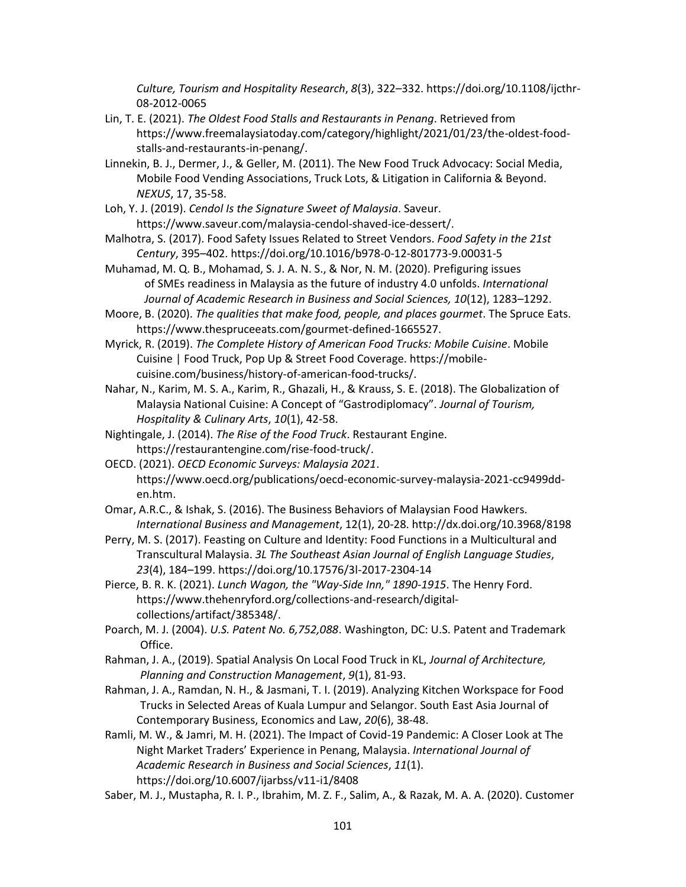*Culture, Tourism and Hospitality Research*, *8*(3), 322–332. https://doi.org/10.1108/ijcthr-08-2012-0065

- Lin, T. E. (2021). *The Oldest Food Stalls and Restaurants in Penang*. Retrieved from https://www.freemalaysiatoday.com/category/highlight/2021/01/23/the-oldest-foodstalls-and-restaurants-in-penang/.
- Linnekin, B. J., Dermer, J., & Geller, M. (2011). The New Food Truck Advocacy: Social Media, Mobile Food Vending Associations, Truck Lots, & Litigation in California & Beyond. *NEXUS*, 17, 35-58.
- Loh, Y. J. (2019). *Cendol Is the Signature Sweet of Malaysia*. Saveur. https://www.saveur.com/malaysia-cendol-shaved-ice-dessert/.
- Malhotra, S. (2017). Food Safety Issues Related to Street Vendors. *Food Safety in the 21st Century*, 395–402. https://doi.org/10.1016/b978-0-12-801773-9.00031-5
- Muhamad, M. Q. B., Mohamad, S. J. A. N. S., & Nor, N. M. (2020). Prefiguring issues of SMEs readiness in Malaysia as the future of industry 4.0 unfolds. *International Journal of Academic Research in Business and Social Sciences, 10*(12), 1283–1292.
- Moore, B. (2020). *The qualities that make food, people, and places gourmet*. The Spruce Eats. https://www.thespruceeats.com/gourmet-defined-1665527.

Myrick, R. (2019). *The Complete History of American Food Trucks: Mobile Cuisine*. Mobile Cuisine | Food Truck, Pop Up & Street Food Coverage. https://mobilecuisine.com/business/history-of-american-food-trucks/.

- Nahar, N., Karim, M. S. A., Karim, R., Ghazali, H., & Krauss, S. E. (2018). The Globalization of Malaysia National Cuisine: A Concept of "Gastrodiplomacy". *Journal of Tourism, Hospitality & Culinary Arts*, *10*(1), 42-58.
- Nightingale, J. (2014). *The Rise of the Food Truck*. Restaurant Engine. https://restaurantengine.com/rise-food-truck/.
- OECD. (2021). *OECD Economic Surveys: Malaysia 2021*. https://www.oecd.org/publications/oecd-economic-survey-malaysia-2021-cc9499dden.htm.
- Omar, A.R.C., & Ishak, S. (2016). The Business Behaviors of Malaysian Food Hawkers. *International Business and Management*, 12(1), 20-28. http://dx.doi.org/10.3968/8198
- Perry, M. S. (2017). Feasting on Culture and Identity: Food Functions in a Multicultural and Transcultural Malaysia. *3L The Southeast Asian Journal of English Language Studies*, *23*(4), 184–199. https://doi.org/10.17576/3l-2017-2304-14

Pierce, B. R. K. (2021). *Lunch Wagon, the "Way-Side Inn," 1890-1915*. The Henry Ford. https://www.thehenryford.org/collections-and-research/digitalcollections/artifact/385348/.

Poarch, M. J. (2004). *U.S. Patent No. 6,752,088*. Washington, DC: U.S. Patent and Trademark Office.

Rahman, J. A., (2019). Spatial Analysis On Local Food Truck in KL, *Journal of Architecture, Planning and Construction Management*, *9*(1), 81-93.

- Rahman, J. A., Ramdan, N. H., & Jasmani, T. I. (2019). Analyzing Kitchen Workspace for Food Trucks in Selected Areas of Kuala Lumpur and Selangor. South East Asia Journal of Contemporary Business, Economics and Law, *20*(6), 38-48.
- Ramli, M. W., & Jamri, M. H. (2021). The Impact of Covid-19 Pandemic: A Closer Look at The Night Market Traders' Experience in Penang, Malaysia. *International Journal of Academic Research in Business and Social Sciences*, *11*(1). https://doi.org/10.6007/ijarbss/v11-i1/8408
- Saber, M. J., Mustapha, R. I. P., Ibrahim, M. Z. F., Salim, A., & Razak, M. A. A. (2020). Customer